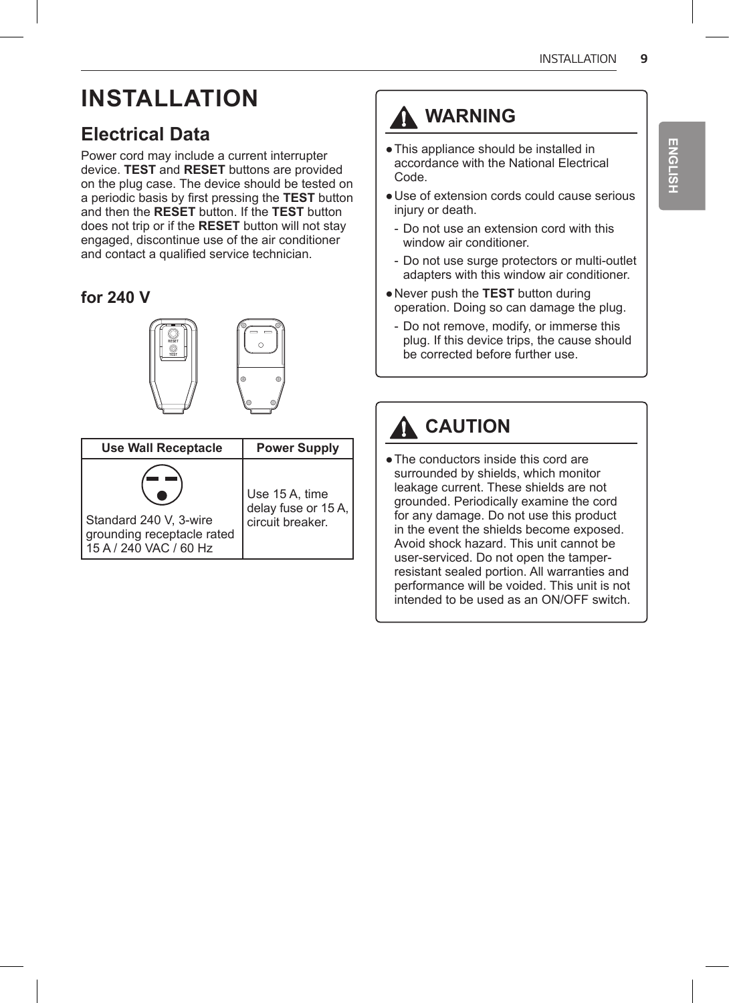# **INSTALLATION**

## **Electrical Data**

Power cord may include a current interrupter device. **TEST** and **RESET** buttons are provided on the plug case. The device should be tested on a periodic basis by first pressing the **TEST** button and then the **RESET** button. If the **TEST** button does not trip or if the **RESET** button will not stay engaged, discontinue use of the air conditioner and contact a qualified service technician.

### **for 240 V**



| <b>Use Wall Receptacle</b> | <b>Power Supply</b>    |
|----------------------------|------------------------|
| Standard 240 V, 3-wire     | Use 15 A, time         |
| grounding receptacle rated | delay fuse or $15 A$ , |
| 15 A / 240 VAC / 60 Hz     | circuit breaker.       |

## **WARNING**

- ●This appliance should be installed in accordance with the National Electrical Code.
- ●Use of extension cords could cause serious injury or death.
- Do not use an extension cord with this window air conditioner.
- Do not use surge protectors or multi-outlet adapters with this window air conditioner.
- ●Never push the **TEST** button during operation. Doing so can damage the plug.
- Do not remove, modify, or immerse this plug. If this device trips, the cause should be corrected before further use.

## **A** CAUTION

• The conductors inside this cord are surrounded by shields, which monitor leakage current. These shields are not grounded. Periodically examine the cord for any damage. Do not use this product in the event the shields become exposed. Avoid shock hazard. This unit cannot be user-serviced. Do not open the tamperresistant sealed portion. All warranties and performance will be voided. This unit is not intended to be used as an ON/OFF switch.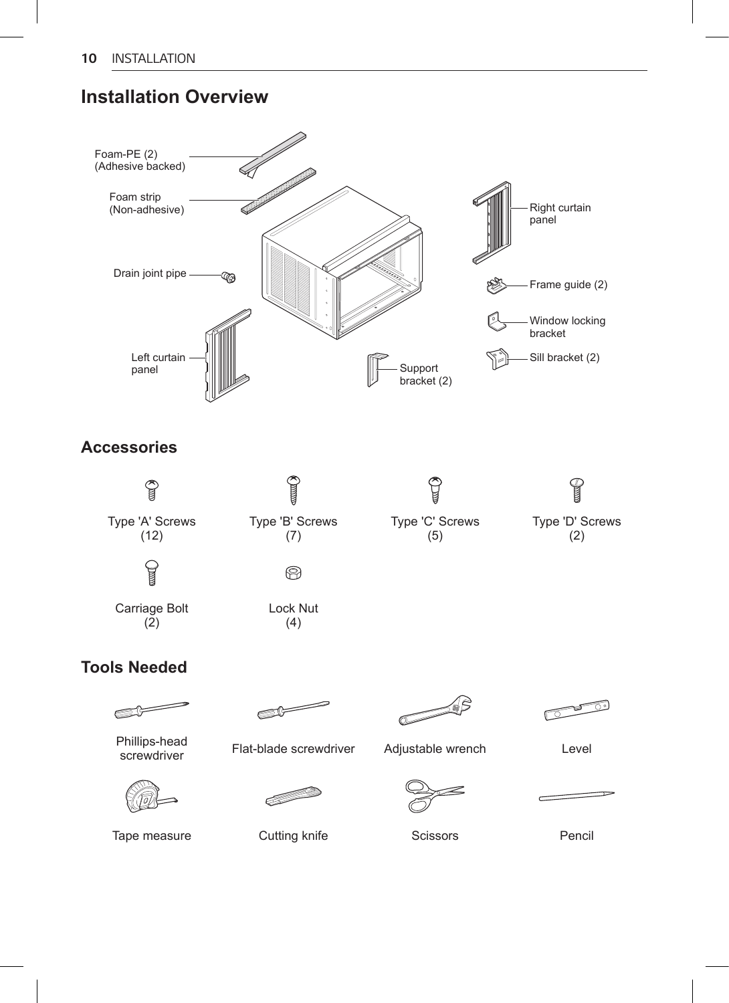### **Installation Overview**

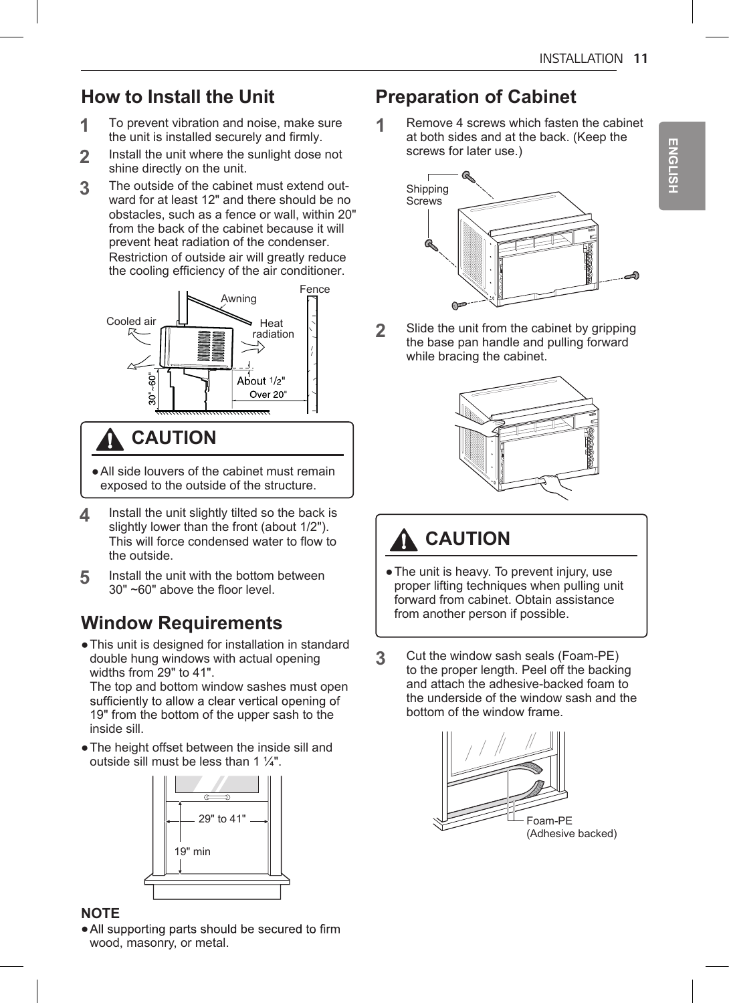## **How to Install the Unit**

- **1** To prevent vibration and noise, make sure the unit is installed securely and firmly.
- **2** Install the unit where the sunlight dose not shine directly on the unit.
- **3** The outside of the cabinet must extend out-ward for at least 12" and there should be no obstacles, such as a fence or wall, within 20" from the back of the cabinet because it will prevent heat radiation of the condenser. Restriction of outside air will greatly reduce the cooling efficiency of the air conditioner.



## **CAUTION**

- ●All side louvers of the cabinet must remain exposed to the outside of the structure.
- **4** Install the unit slightly tilted so the back is slightly lower than the front (about 1/2"). This will force condensed water to flow to the outside.
- **5** Install the unit with the bottom between 30" ~60" above the floor level.

## **Window Requirements**

●This unit is designed for installation in standard double hung windows with actual opening widths from 29" to 41".

The top and bottom window sashes must open<br>sufficiently to allow a clear vertical opening of 19" from the bottom of the upper sash to the inside sill.

●The height offset between the inside sill and outside sill must be less than 1  $\frac{1}{4}$ ".



#### **NOTE**

• All supporting parts should be secured to firm wood, masonry, or metal.

### **Preparation of Cabinet**

**1** Remove 4 screws which fasten the cabinet at both sides and at the back. (Keep the screws for later use.)



**2** Slide the unit from the cabinet by gripping the base pan handle and pulling forward while bracing the cabinet.



# **A** CAUTION

- The unit is heavy. To prevent injury, use proper lifting techniques when pulling unit forward from cabinet. Obtain assistance from another person if possible.
- **3** Cut the window sash seals (Foam-PE) to the proper length. Peel off the backing and attach the adhesive-backed foam to the underside of the window sash and the bottom of the window frame.

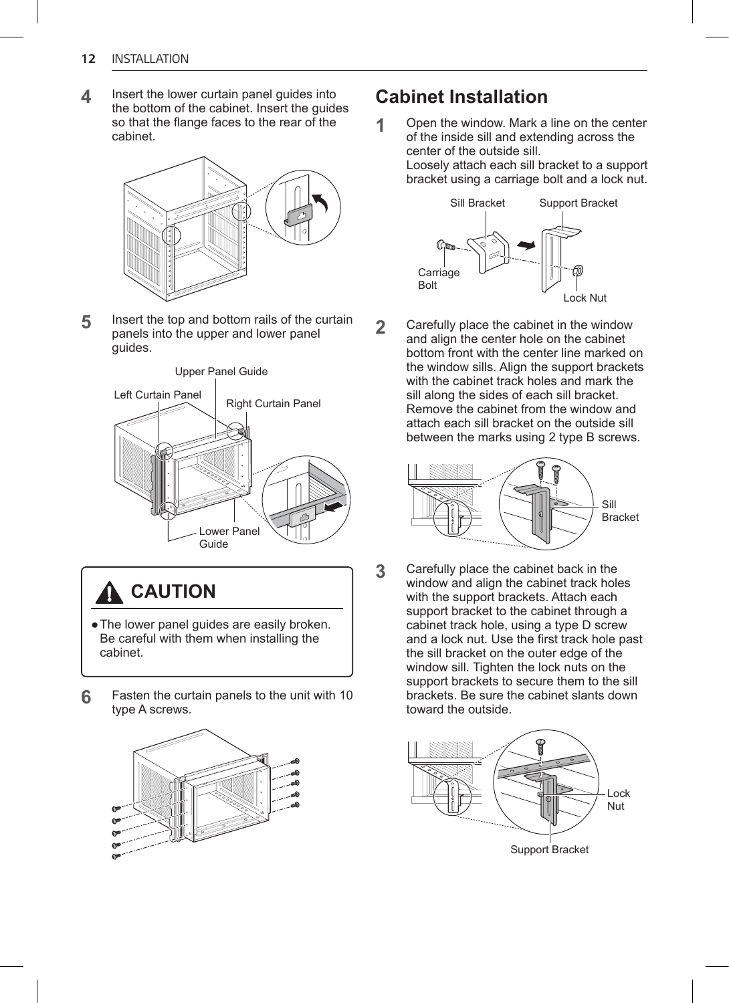**4** Insert the lower curtain panel guides into the bottom of the cabinet. Insert the guides so that the flange faces to the rear of the cabinet.



**5** Insert the top and bottom rails of the curtain panels into the upper and lower panel guides.



**A** CAUTION

- The lower panel quides are easily broken. Be careful with them when installing the cabinet.
- **6** Fasten the curtain panels to the unit with 10 type A screws.



### **Cabinet Installation**

**1** Open the window. Mark a line on the center of the inside sill and extending across the center of the outside sill. Loosely attach each sill bracket to a support bracket using a carriage bolt and a lock nut.



**2** Carefully place the cabinet in the window and align the center hole on the cabinet bottom front with the center line marked on the window sills. Align the support brackets with the cabinet track holes and mark the sill along the sides of each sill bracket. Remove the cabinet from the window and attach each sill bracket on the outside sill between the marks using 2 type B screws.



**3** Carefully place the cabinet back in the window and align the cabinet track holes with the support brackets. Attach each support bracket to the cabinet through a cabinet track hole, using a type D screw and a lock nut. Use the first track hole past the sill bracket on the outer edge of the window sill. Tighten the lock nuts on the support brackets to secure them to the sill brackets. Be sure the cabinet slants down toward the outside.

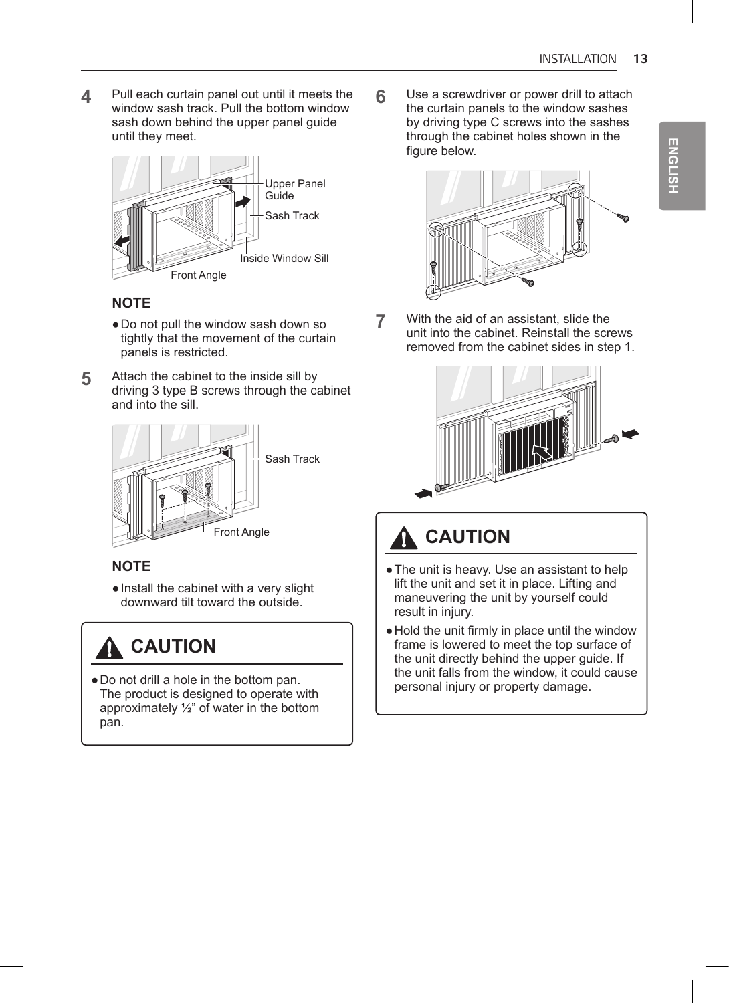**4** Pull each curtain panel out until it meets the window sash track. Pull the bottom window sash down behind the upper panel quide until they meet.



#### **NOTE**

- ●Do not pull the window sash down so tightly that the movement of the curtain panels is restricted.
- **5** Attach the cabinet to the inside sill by driving 3 type B screws through the cabinet and into the sill.



#### **NOTE**

●Install the cabinet with a very slight downward tilt toward the outside.

## **A** CAUTION

●Do not drill a hole in the bottom pan. The product is designed to operate with approximately ½" of water in the bottom pan.

**6** Use a screwdriver or power drill to attach the curtain panels to the window sashes by driving type C screws into the sashes through the cabinet holes shown in the figure below.



**7** With the aid of an assistant, slide the unit into the cabinet. Reinstall the screws removed from the cabinet sides in step 1.



# **A** CAUTION

- ●The unit is heavy. Use an assistant to help lift the unit and set it in place. Lifting and maneuvering the unit by yourself could result in injury.
- ●Hold the unit firmly in place until the window frame is lowered to meet the top surface of the unit directly behind the upper guide. If the unit falls from the window, it could cause personal injury or property damage.